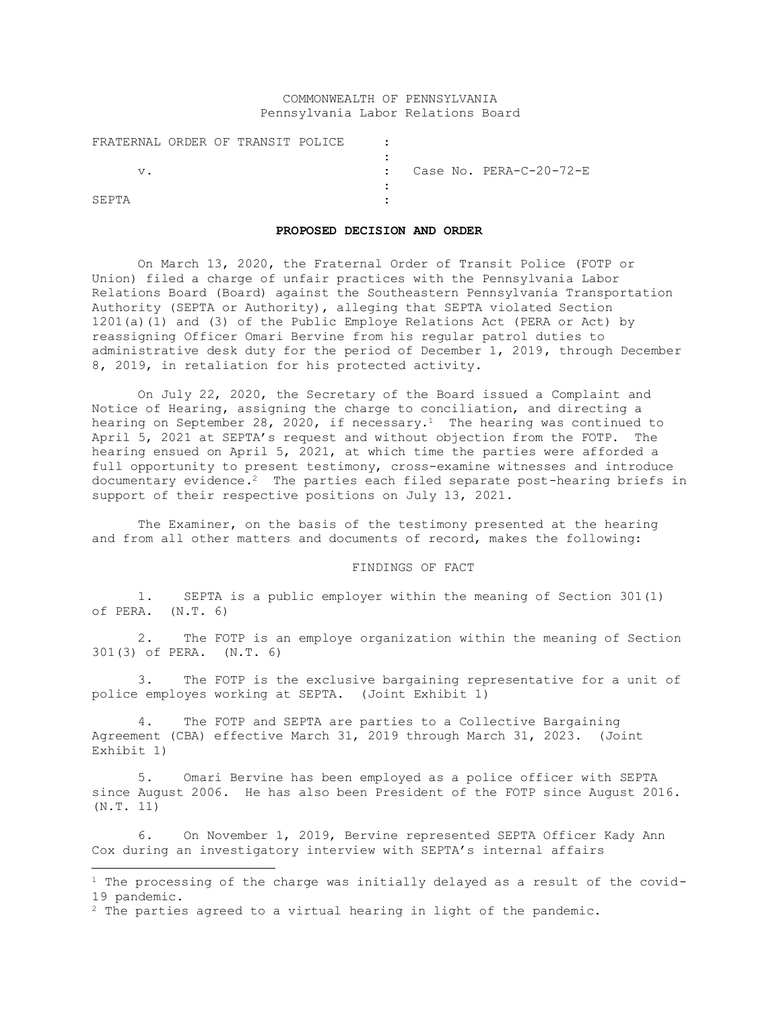# COMMONWEALTH OF PENNSYLVANIA Pennsylvania Labor Relations Board

| FRATERNAL ORDER OF TRANSIT POLICE |  |  |  |                                      |
|-----------------------------------|--|--|--|--------------------------------------|
|                                   |  |  |  |                                      |
|                                   |  |  |  | $\therefore$ Case No. PERA-C-20-72-E |
|                                   |  |  |  |                                      |
| SEPTA                             |  |  |  |                                      |

# **PROPOSED DECISION AND ORDER**

On March 13, 2020, the Fraternal Order of Transit Police (FOTP or Union) filed a charge of unfair practices with the Pennsylvania Labor Relations Board (Board) against the Southeastern Pennsylvania Transportation Authority (SEPTA or Authority), alleging that SEPTA violated Section 1201(a)(1) and (3) of the Public Employe Relations Act (PERA or Act) by reassigning Officer Omari Bervine from his regular patrol duties to administrative desk duty for the period of December 1, 2019, through December 8, 2019, in retaliation for his protected activity.

On July 22, 2020, the Secretary of the Board issued a Complaint and Notice of Hearing, assigning the charge to conciliation, and directing a hearing on September 28, 2020, if necessary.<sup>1</sup> The hearing was continued to April 5, 2021 at SEPTA's request and without objection from the FOTP. The hearing ensued on April 5, 2021, at which time the parties were afforded a full opportunity to present testimony, cross-examine witnesses and introduce documentary evidence.2 The parties each filed separate post-hearing briefs in support of their respective positions on July 13, 2021.

The Examiner, on the basis of the testimony presented at the hearing and from all other matters and documents of record, makes the following:

#### FINDINGS OF FACT

1. SEPTA is a public employer within the meaning of Section 301(1) of PERA. (N.T. 6)

2. The FOTP is an employe organization within the meaning of Section 301(3) of PERA. (N.T. 6)

3. The FOTP is the exclusive bargaining representative for a unit of police employes working at SEPTA. (Joint Exhibit 1)

4. The FOTP and SEPTA are parties to a Collective Bargaining Agreement (CBA) effective March 31, 2019 through March 31, 2023. (Joint Exhibit 1)

5. Omari Bervine has been employed as a police officer with SEPTA since August 2006. He has also been President of the FOTP since August 2016. (N.T. 11)

6. On November 1, 2019, Bervine represented SEPTA Officer Kady Ann Cox during an investigatory interview with SEPTA's internal affairs

 $1$  The processing of the charge was initially delayed as a result of the covid-19 pandemic.

<sup>2</sup> The parties agreed to a virtual hearing in light of the pandemic.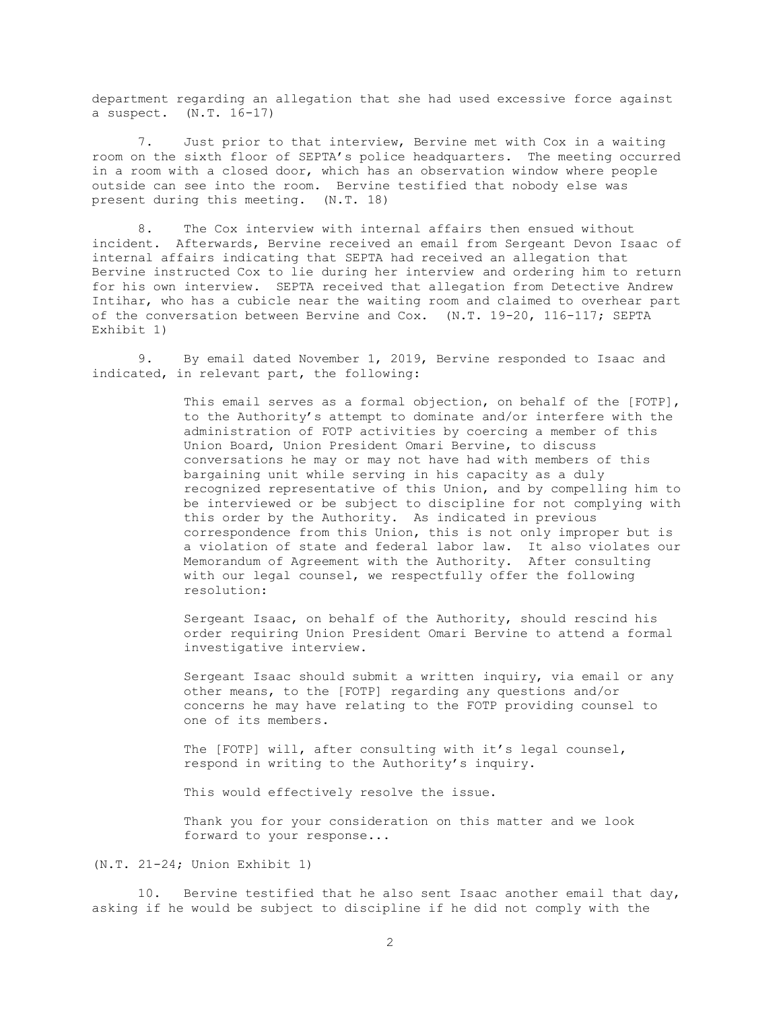department regarding an allegation that she had used excessive force against a suspect. (N.T. 16-17)

7. Just prior to that interview, Bervine met with Cox in a waiting room on the sixth floor of SEPTA's police headquarters. The meeting occurred in a room with a closed door, which has an observation window where people outside can see into the room. Bervine testified that nobody else was present during this meeting. (N.T. 18)

8. The Cox interview with internal affairs then ensued without incident. Afterwards, Bervine received an email from Sergeant Devon Isaac of internal affairs indicating that SEPTA had received an allegation that Bervine instructed Cox to lie during her interview and ordering him to return for his own interview. SEPTA received that allegation from Detective Andrew Intihar, who has a cubicle near the waiting room and claimed to overhear part of the conversation between Bervine and Cox. (N.T. 19-20, 116-117; SEPTA Exhibit 1)

9. By email dated November 1, 2019, Bervine responded to Isaac and indicated, in relevant part, the following:

> This email serves as a formal objection, on behalf of the [FOTP], to the Authority's attempt to dominate and/or interfere with the administration of FOTP activities by coercing a member of this Union Board, Union President Omari Bervine, to discuss conversations he may or may not have had with members of this bargaining unit while serving in his capacity as a duly recognized representative of this Union, and by compelling him to be interviewed or be subject to discipline for not complying with this order by the Authority. As indicated in previous correspondence from this Union, this is not only improper but is a violation of state and federal labor law. It also violates our Memorandum of Agreement with the Authority. After consulting with our legal counsel, we respectfully offer the following resolution:

Sergeant Isaac, on behalf of the Authority, should rescind his order requiring Union President Omari Bervine to attend a formal investigative interview.

Sergeant Isaac should submit a written inquiry, via email or any other means, to the [FOTP] regarding any questions and/or concerns he may have relating to the FOTP providing counsel to one of its members.

The [FOTP] will, after consulting with it's legal counsel, respond in writing to the Authority's inquiry.

This would effectively resolve the issue.

Thank you for your consideration on this matter and we look forward to your response...

(N.T. 21-24; Union Exhibit 1)

10. Bervine testified that he also sent Isaac another email that day, asking if he would be subject to discipline if he did not comply with the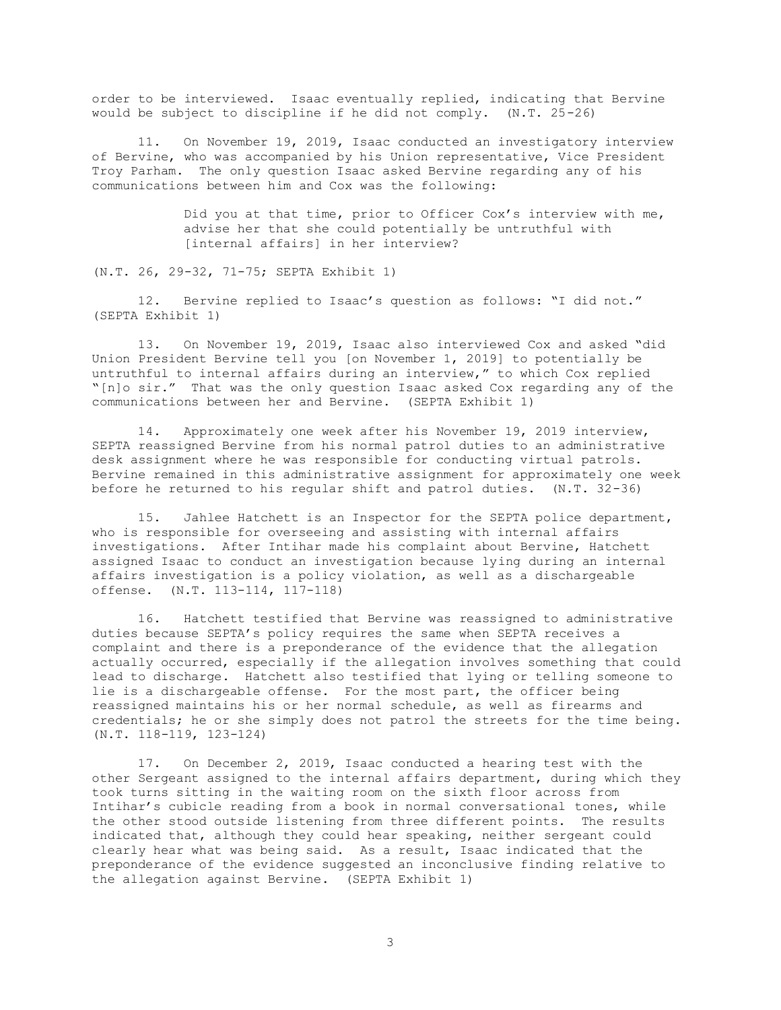order to be interviewed. Isaac eventually replied, indicating that Bervine would be subject to discipline if he did not comply. (N.T. 25-26)

11. On November 19, 2019, Isaac conducted an investigatory interview of Bervine, who was accompanied by his Union representative, Vice President Troy Parham. The only question Isaac asked Bervine regarding any of his communications between him and Cox was the following:

> Did you at that time, prior to Officer Cox's interview with me, advise her that she could potentially be untruthful with [internal affairs] in her interview?

(N.T. 26, 29-32, 71-75; SEPTA Exhibit 1)

12. Bervine replied to Isaac's question as follows: "I did not." (SEPTA Exhibit 1)

13. On November 19, 2019, Isaac also interviewed Cox and asked "did Union President Bervine tell you [on November 1, 2019] to potentially be untruthful to internal affairs during an interview," to which Cox replied "[n]o sir." That was the only question Isaac asked Cox regarding any of the communications between her and Bervine. (SEPTA Exhibit 1)

14. Approximately one week after his November 19, 2019 interview, SEPTA reassigned Bervine from his normal patrol duties to an administrative desk assignment where he was responsible for conducting virtual patrols. Bervine remained in this administrative assignment for approximately one week before he returned to his regular shift and patrol duties. (N.T. 32-36)

15. Jahlee Hatchett is an Inspector for the SEPTA police department, who is responsible for overseeing and assisting with internal affairs investigations. After Intihar made his complaint about Bervine, Hatchett assigned Isaac to conduct an investigation because lying during an internal affairs investigation is a policy violation, as well as a dischargeable offense. (N.T. 113-114, 117-118)

16. Hatchett testified that Bervine was reassigned to administrative duties because SEPTA's policy requires the same when SEPTA receives a complaint and there is a preponderance of the evidence that the allegation actually occurred, especially if the allegation involves something that could lead to discharge. Hatchett also testified that lying or telling someone to lie is a dischargeable offense. For the most part, the officer being reassigned maintains his or her normal schedule, as well as firearms and credentials; he or she simply does not patrol the streets for the time being. (N.T. 118-119, 123-124)

17. On December 2, 2019, Isaac conducted a hearing test with the other Sergeant assigned to the internal affairs department, during which they took turns sitting in the waiting room on the sixth floor across from Intihar's cubicle reading from a book in normal conversational tones, while the other stood outside listening from three different points. The results indicated that, although they could hear speaking, neither sergeant could clearly hear what was being said. As a result, Isaac indicated that the preponderance of the evidence suggested an inconclusive finding relative to the allegation against Bervine. (SEPTA Exhibit 1)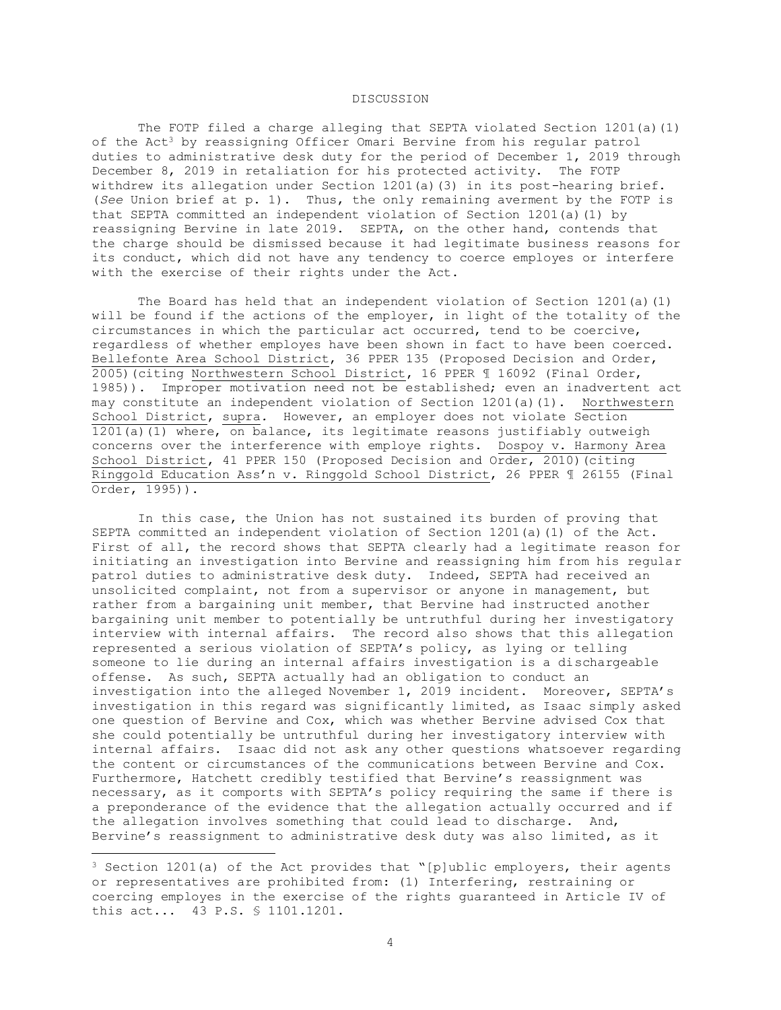# DISCUSSION

The FOTP filed a charge alleging that SEPTA violated Section 1201(a)(1) of the Act<sup>3</sup> by reassigning Officer Omari Bervine from his regular patrol duties to administrative desk duty for the period of December 1, 2019 through December 8, 2019 in retaliation for his protected activity. The FOTP withdrew its allegation under Section 1201(a)(3) in its post-hearing brief. (*See* Union brief at p. 1). Thus, the only remaining averment by the FOTP is that SEPTA committed an independent violation of Section 1201(a)(1) by reassigning Bervine in late 2019. SEPTA, on the other hand, contends that the charge should be dismissed because it had legitimate business reasons for its conduct, which did not have any tendency to coerce employes or interfere with the exercise of their rights under the Act.

The Board has held that an independent violation of Section 1201(a)(1) will be found if the actions of the employer, in light of the totality of the circumstances in which the particular act occurred, tend to be coercive, regardless of whether employes have been shown in fact to have been coerced. Bellefonte Area School District, 36 PPER 135 (Proposed Decision and Order, 2005)(citing Northwestern School District, 16 PPER ¶ 16092 (Final Order, 1985)). Improper motivation need not be established; even an inadvertent act may constitute an independent violation of Section 1201(a)(1). Northwestern School District, supra*.* However, an employer does not violate Section 1201(a)(1) where, on balance, its legitimate reasons justifiably outweigh concerns over the interference with employe rights. Dospoy v. Harmony Area School District, 41 PPER 150 (Proposed Decision and Order, 2010) (citing Ringgold Education Ass'n v. Ringgold School District, 26 PPER ¶ 26155 (Final Order, 1995)).

In this case, the Union has not sustained its burden of proving that SEPTA committed an independent violation of Section 1201(a)(1) of the Act. First of all, the record shows that SEPTA clearly had a legitimate reason for initiating an investigation into Bervine and reassigning him from his regular patrol duties to administrative desk duty. Indeed, SEPTA had received an unsolicited complaint, not from a supervisor or anyone in management, but rather from a bargaining unit member, that Bervine had instructed another bargaining unit member to potentially be untruthful during her investigatory interview with internal affairs. The record also shows that this allegation represented a serious violation of SEPTA's policy, as lying or telling someone to lie during an internal affairs investigation is a dischargeable offense. As such, SEPTA actually had an obligation to conduct an investigation into the alleged November 1, 2019 incident. Moreover, SEPTA's investigation in this regard was significantly limited, as Isaac simply asked one question of Bervine and Cox, which was whether Bervine advised Cox that she could potentially be untruthful during her investigatory interview with internal affairs. Isaac did not ask any other questions whatsoever regarding the content or circumstances of the communications between Bervine and Cox. Furthermore, Hatchett credibly testified that Bervine's reassignment was necessary, as it comports with SEPTA's policy requiring the same if there is a preponderance of the evidence that the allegation actually occurred and if the allegation involves something that could lead to discharge. And, Bervine's reassignment to administrative desk duty was also limited, as it

 $3$  Section 1201(a) of the Act provides that "[p]ublic employers, their agents or representatives are prohibited from: (1) Interfering, restraining or coercing employes in the exercise of the rights guaranteed in Article IV of this act... 43 P.S. § 1101.1201.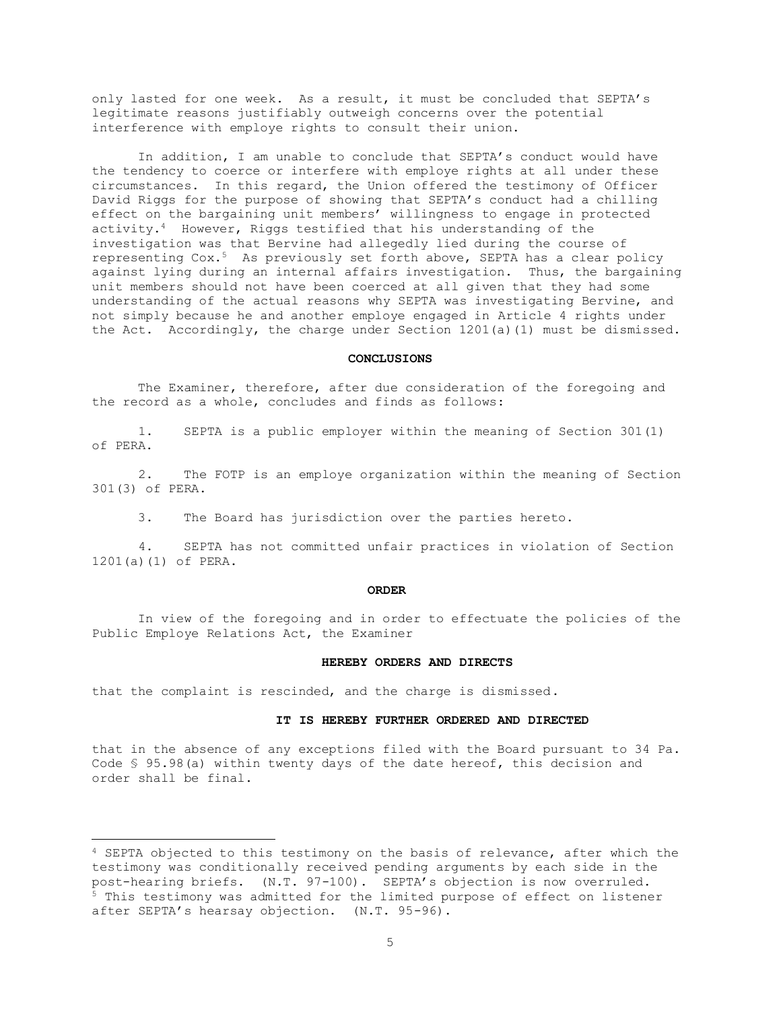only lasted for one week. As a result, it must be concluded that SEPTA's legitimate reasons justifiably outweigh concerns over the potential interference with employe rights to consult their union.

In addition, I am unable to conclude that SEPTA's conduct would have the tendency to coerce or interfere with employe rights at all under these circumstances. In this regard, the Union offered the testimony of Officer David Riggs for the purpose of showing that SEPTA's conduct had a chilling effect on the bargaining unit members' willingness to engage in protected activity.4 However, Riggs testified that his understanding of the investigation was that Bervine had allegedly lied during the course of representing Cox.5 As previously set forth above, SEPTA has a clear policy against lying during an internal affairs investigation. Thus, the bargaining unit members should not have been coerced at all given that they had some understanding of the actual reasons why SEPTA was investigating Bervine, and not simply because he and another employe engaged in Article 4 rights under the Act. Accordingly, the charge under Section 1201(a)(1) must be dismissed.

# **CONCLUSIONS**

The Examiner, therefore, after due consideration of the foregoing and the record as a whole, concludes and finds as follows:

 1. SEPTA is a public employer within the meaning of Section 301(1) of PERA.

 2. The FOTP is an employe organization within the meaning of Section 301(3) of PERA.

3. The Board has jurisdiction over the parties hereto.

 4. SEPTA has not committed unfair practices in violation of Section 1201(a)(1) of PERA.

#### **ORDER**

In view of the foregoing and in order to effectuate the policies of the Public Employe Relations Act, the Examiner

#### **HEREBY ORDERS AND DIRECTS**

that the complaint is rescinded, and the charge is dismissed.

#### **IT IS HEREBY FURTHER ORDERED AND DIRECTED**

that in the absence of any exceptions filed with the Board pursuant to 34 Pa. Code § 95.98(a) within twenty days of the date hereof, this decision and order shall be final.

<sup>4</sup> SEPTA objected to this testimony on the basis of relevance, after which the testimony was conditionally received pending arguments by each side in the post-hearing briefs. (N.T. 97-100). SEPTA's objection is now overruled. <sup>5</sup> This testimony was admitted for the limited purpose of effect on listener after SEPTA's hearsay objection. (N.T. 95-96).